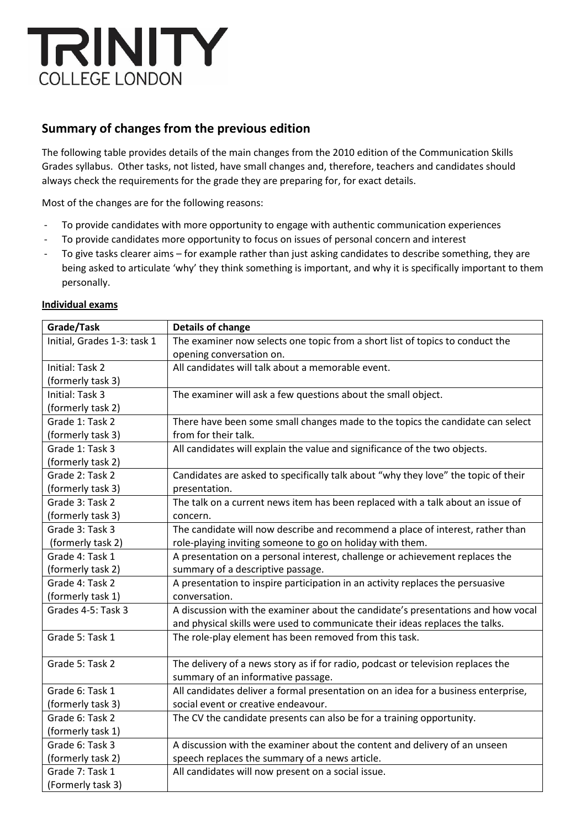

## **Summary of changes from the previous edition**

The following table provides details of the main changes from the 2010 edition of the Communication Skills Grades syllabus. Other tasks, not listed, have small changes and, therefore, teachers and candidates should always check the requirements for the grade they are preparing for, for exact details.

Most of the changes are for the following reasons:

- To provide candidates with more opportunity to engage with authentic communication experiences
- To provide candidates more opportunity to focus on issues of personal concern and interest
- To give tasks clearer aims for example rather than just asking candidates to describe something, they are being asked to articulate 'why' they think something is important, and why it is specifically important to them personally.

| Grade/Task                  | Details of change                                                                  |
|-----------------------------|------------------------------------------------------------------------------------|
| Initial, Grades 1-3: task 1 | The examiner now selects one topic from a short list of topics to conduct the      |
|                             | opening conversation on.                                                           |
| Initial: Task 2             | All candidates will talk about a memorable event.                                  |
| (formerly task 3)           |                                                                                    |
| Initial: Task 3             | The examiner will ask a few questions about the small object.                      |
| (formerly task 2)           |                                                                                    |
| Grade 1: Task 2             | There have been some small changes made to the topics the candidate can select     |
| (formerly task 3)           | from for their talk.                                                               |
| Grade 1: Task 3             | All candidates will explain the value and significance of the two objects.         |
| (formerly task 2)           |                                                                                    |
| Grade 2: Task 2             | Candidates are asked to specifically talk about "why they love" the topic of their |
| (formerly task 3)           | presentation.                                                                      |
| Grade 3: Task 2             | The talk on a current news item has been replaced with a talk about an issue of    |
| (formerly task 3)           | concern.                                                                           |
| Grade 3: Task 3             | The candidate will now describe and recommend a place of interest, rather than     |
| (formerly task 2)           | role-playing inviting someone to go on holiday with them.                          |
| Grade 4: Task 1             | A presentation on a personal interest, challenge or achievement replaces the       |
| (formerly task 2)           | summary of a descriptive passage.                                                  |
| Grade 4: Task 2             | A presentation to inspire participation in an activity replaces the persuasive     |
| (formerly task 1)           | conversation.                                                                      |
| Grades 4-5: Task 3          | A discussion with the examiner about the candidate's presentations and how vocal   |
|                             | and physical skills were used to communicate their ideas replaces the talks.       |
| Grade 5: Task 1             | The role-play element has been removed from this task.                             |
|                             |                                                                                    |
| Grade 5: Task 2             | The delivery of a news story as if for radio, podcast or television replaces the   |
|                             | summary of an informative passage.                                                 |
| Grade 6: Task 1             | All candidates deliver a formal presentation on an idea for a business enterprise, |
| (formerly task 3)           | social event or creative endeavour.                                                |
| Grade 6: Task 2             | The CV the candidate presents can also be for a training opportunity.              |
| (formerly task 1)           |                                                                                    |
| Grade 6: Task 3             | A discussion with the examiner about the content and delivery of an unseen         |
| (formerly task 2)           | speech replaces the summary of a news article.                                     |
| Grade 7: Task 1             | All candidates will now present on a social issue.                                 |
| (Formerly task 3)           |                                                                                    |

## **Individual exams**